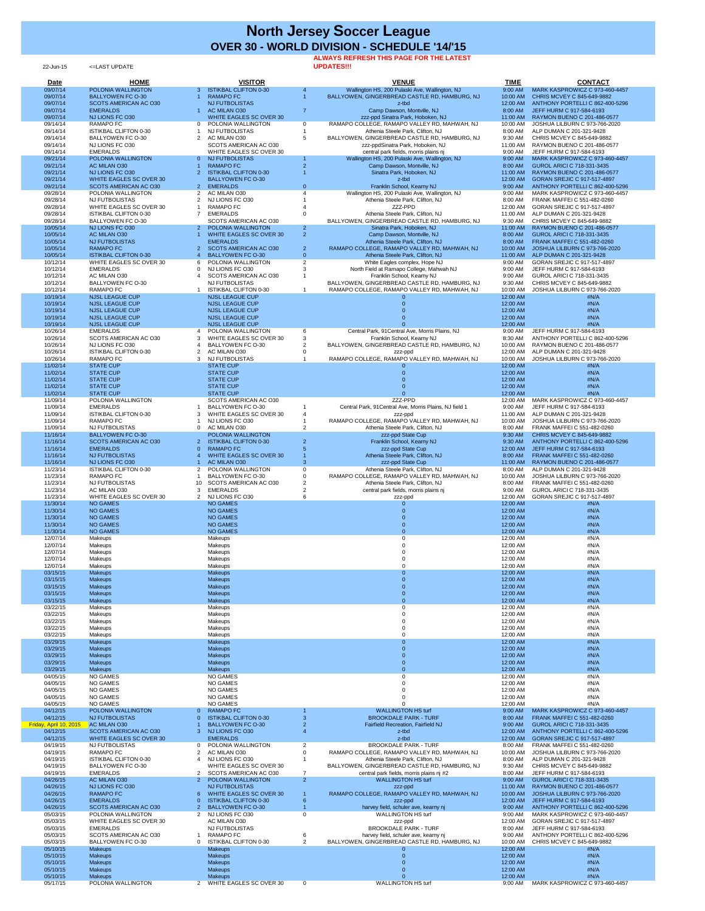22-Jun-15 <=LAST UPDATE

## **ALWAYS REFRESH THIS PAGE FOR THE LATEST**

**UPDATES!!!**

| <b>Date</b>            | <b>HOME</b>                                             |                     | <b>VISITOR</b>                                                 |                                  | <b>VENUE</b>                                                                                    | <b>TIME</b>          | <b>CONTACT</b>                                                        |
|------------------------|---------------------------------------------------------|---------------------|----------------------------------------------------------------|----------------------------------|-------------------------------------------------------------------------------------------------|----------------------|-----------------------------------------------------------------------|
| 09/07/14<br>09/07/14   | POLONIA WALLINGTON<br><b>BALLYOWEN FC O-30</b>          |                     | <b>ISTIKBAL CLIFTON 0-30</b><br><b>RAMAPO FC</b>               |                                  | Wallington HS, 200 Pulaski Ave, Wallington, NJ<br>BALLYOWEN, GINGERBREAD CASTLE RD, HAMBURG, NJ | 9:00 AM<br>10:00 AM  | MARK KASPROWICZ C 973-460-4457<br>CHRIS MCVEY C 845-649-9882          |
| 09/07/14               | <b>SCOTS AMERICAN AC O30</b>                            |                     | <b>NJ FUTBOLISTAS</b>                                          |                                  | z-tbd                                                                                           | 12:00 AM             | ANTHONY PORTELLI C 862-400-5296                                       |
| 09/07/14               | <b>EMERALDS</b>                                         |                     | AC MILAN O30                                                   | $\overline{7}$                   | Camp Dawson, Montville, NJ                                                                      | 8:00 AM              | JEFF HURM C 917-584-6193                                              |
| 09/07/14               | NJ LIONS FC O30                                         |                     | WHITE EAGLES SC OVER 30                                        |                                  | zzz-ppd Sinatra Park, Hoboken, NJ                                                               | 11:00 AM             | RAYMON BUENO C 201-486-0577                                           |
| 09/14/14<br>09/14/14   | <b>RAMAPO FC</b><br><b>ISTIKBAL CLIFTON 0-30</b>        |                     | POLONIA WALLINGTON<br><b>NJ FUTBOLISTAS</b>                    | 0                                | RAMAPO COLLEGE, RAMAPO VALLEY RD, MAHWAH, NJ<br>Athenia Steele Park, Clifton, NJ                | 10:00 AM<br>8:00 AM  | <b>JOSHUA LILBURN C 973-766-2020</b><br>ALP DUMAN C 201-321-9428      |
| 09/14/14               | <b>BALLYOWEN FC O-30</b>                                |                     | AC MILAN O30                                                   |                                  | BALLYOWEN, GINGERBREAD CASTLE RD, HAMBURG, NJ                                                   | 9:30 AM              | CHRIS MCVEY C 845-649-9882                                            |
| 09/14/14               | NJ LIONS FC O30                                         |                     | SCOTS AMERICAN AC O30                                          |                                  | zzz-ppdSinatra Park, Hoboken, NJ                                                                | 11:00 AM             | RAYMON BUENO C 201-486-0577                                           |
| 09/14/14<br>09/21/14   | <b>EMERALDS</b><br>POLONIA WALLINGTON                   | $\Omega$            | WHITE EAGLES SC OVER 30<br><b>NJ FUTBOLISTAS</b>               |                                  | central park fields, morris plains nj<br>Wallington HS, 200 Pulaski Ave, Wallington, NJ         | 9:00 AM<br>9:00 AM   | JEFF HURM C 917-584-6193<br>MARK KASPROWICZ C 973-460-4457            |
| 09/21/14               | AC MILAN O30                                            |                     | <b>RAMAPO FC</b>                                               |                                  | Camp Dawson, Montville, NJ                                                                      | 8:00 AM              | <b>GUROL ARICI C 718-331-3435</b>                                     |
| 09/21/14               | NJ LIONS FC 030                                         |                     | <b>ISTIKBAL CLIFTON 0-30</b>                                   |                                  | Sinatra Park, Hoboken, NJ                                                                       | 11:00 AM             | RAYMON BUENO C 201-486-0577                                           |
| 09/21/14               | <b>WHITE EAGLES SC OVER 30</b>                          |                     | <b>BALLYOWEN FC O-30</b>                                       |                                  | z-tbd                                                                                           | 12:00 AM             | <b>GORAN SREJIC C 917-517-4897</b>                                    |
| 09/21/14<br>09/28/14   | <b>SCOTS AMERICAN AC O30</b><br>POLONIA WALLINGTON      | 2 <sup>1</sup><br>2 | <b>EMERALDS</b><br>AC MILAN O30                                | $\Omega$                         | Franklin School, Kearny NJ<br>Wallington HS, 200 Pulaski Ave, Wallington, NJ                    | 9:00 AM<br>9:00 AM   | ANTHONY PORTELLI C 862-400-5296<br>MARK KASPROWICZ C 973-460-4457     |
| 09/28/14               | <b>NJ FUTBOLISTAS</b>                                   |                     | NJ LIONS FC O30                                                |                                  | Athenia Steele Park, Clifton, NJ                                                                | 8:00 AM              | FRANK MAFFEI C 551-482-0260                                           |
| 09/28/14               | WHITE EAGLES SC OVER 30                                 |                     | <b>RAMAPO FC</b>                                               |                                  | ZZZ-PPD                                                                                         | 12:00 AM             | GORAN SREJIC C 917-517-4897                                           |
| 09/28/14               | <b>ISTIKBAL CLIFTON 0-30</b>                            |                     | <b>EMERALDS</b>                                                |                                  | Athenia Steele Park, Clifton, NJ                                                                | 11:00 AM             | ALP DUMAN C 201-321-9428                                              |
| 09/28/14<br>10/05/14   | <b>BALLYOWEN FC O-30</b><br>NJ LIONS FC O30             | -2                  | SCOTS AMERICAN AC O30<br>POLONIA WALLINGTON                    | 2 <sup>1</sup>                   | BALLYOWEN, GINGERBREAD CASTLE RD, HAMBURG, NJ<br>Sinatra Park, Hoboken, NJ                      | 9:30 AM<br>11:00 AM  | CHRIS MCVEY C 845-649-9882<br>RAYMON BUENO C 201-486-0577             |
| 10/05/14               | <b>AC MILAN O30</b>                                     |                     | <b>WHITE EAGLES SC OVER 30</b>                                 | 2 <sup>1</sup>                   | Camp Dawson, Montville, NJ                                                                      | 8:00 AM              | GUROL ARICI C 718-331-3435                                            |
| 10/05/14               | <b>NJ FUTBOLISTAS</b>                                   |                     | <b>EMERALDS</b>                                                |                                  | Athenia Steele Park, Clifton, NJ                                                                | 8:00 AM              | <b>FRANK MAFFEI C 551-482-0260</b>                                    |
| 10/05/14<br>10/05/14   | <b>RAMAPO FC</b><br><b>ISTIKBAL CLIFTON 0-30</b>        |                     | <b>SCOTS AMERICAN AC O30</b><br><b>BALLYOWEN FC O-30</b>       | $\overline{2}$<br>$\overline{0}$ | RAMAPO COLLEGE, RAMAPO VALLEY RD, MAHWAH, NJ<br>Athenia Steele Park, Clifton, NJ                | 10:00 AM<br>11:00 AM | <b>JOSHUA LILBURN C 973-766-2020</b><br>ALP DUMAN C 201-321-9428      |
| 10/12/14               | WHITE EAGLES SC OVER 30                                 |                     | POLONIA WALLINGTON                                             | $\overline{2}$                   | White Eagles complex, Hope NJ                                                                   | 9:00 AM              | GORAN SREJIC C 917-517-4897                                           |
| 10/12/14               | <b>EMERALDS</b>                                         |                     | NJ LIONS FC O30                                                |                                  | North Field at Ramapo College, Mahwah NJ                                                        | 9:00 AM              | JEFF HURM C 917-584-6193                                              |
| 10/12/14               | AC MILAN O30                                            |                     | SCOTS AMERICAN AC O30                                          |                                  | Franklin School, Kearny NJ                                                                      | 9:00 AM              | GUROL ARICI C 718-331-3435                                            |
| 10/12/14<br>10/12/14   | <b>BALLYOWEN FC O-30</b><br><b>RAMAPO FC</b>            |                     | <b>NJ FUTBOLISTAS</b><br><b>ISTIKBAL CLIFTON 0-30</b>          |                                  | BALLYOWEN, GINGERBREAD CASTLE RD, HAMBURG, NJ<br>RAMAPO COLLEGE, RAMAPO VALLEY RD, MAHWAH, NJ   | 9:30 AM<br>10:00 AM  | CHRIS MCVEY C 845-649-9882<br><b>JOSHUA LILBURN C 973-766-2020</b>    |
| 10/19/14               | <b>NJSL LEAGUE CUP</b>                                  |                     | <b>NJSL LEAGUE CUP</b>                                         |                                  |                                                                                                 | 12:00 AM             | #N/A                                                                  |
| 10/19/14               | <b>NJSL LEAGUE CUP</b>                                  |                     | <b>NJSL LEAGUE CUP</b>                                         |                                  |                                                                                                 | 12:00 AM             | #N/A                                                                  |
| 10/19/14               | <b>NJSL LEAGUE CUP</b>                                  |                     | <b>NJSL LEAGUE CUP</b>                                         |                                  |                                                                                                 | 12:00 AM             | #N/A                                                                  |
| 10/19/14<br>10/19/14   | <b>NJSL LEAGUE CUP</b><br><b>NJSL LEAGUE CUP</b>        |                     | <b>NJSL LEAGUE CUP</b><br><b>NJSL LEAGUE CUP</b>               |                                  |                                                                                                 | 12:00 AM<br>12:00 AM | #N/A<br>#N/A                                                          |
| 10/26/14               | <b>EMERALDS</b>                                         |                     | POLONIA WALLINGTON                                             |                                  | Central Park, 91 Central Ave, Morris Plains, NJ                                                 | 9:00 AM              | JEFF HURM C 917-584-6193                                              |
| 10/26/14               | <b>SCOTS AMERICAN AC O30</b>                            |                     | WHITE EAGLES SC OVER 30                                        |                                  | Franklin School, Kearny NJ                                                                      | 8:30 AM              | ANTHONY PORTELLI C 862-400-5296                                       |
| 10/26/14               | NJ LIONS FC O30<br><b>ISTIKBAL CLIFTON 0-30</b>         |                     | <b>BALLYOWEN FC O-30</b>                                       |                                  | BALLYOWEN, GINGERBREAD CASTLE RD, HAMBURG, NJ                                                   | 10:00 AM             | RAYMON BUENO C 201-486-0577                                           |
| 10/26/14<br>10/26/14   | <b>RAMAPO FC</b>                                        | 2                   | AC MILAN O30<br><b>NJ FUTBOLISTAS</b>                          |                                  | zzz-ppd<br>RAMAPO COLLEGE, RAMAPO VALLEY RD, MAHWAH, NJ                                         | 12:00 AM<br>10:00 AM | ALP DUMAN C 201-321-9428<br>JOSHUA LILBURN C 973-766-2020             |
| 11/02/14               | <b>STATE CUP</b>                                        |                     | <b>STATE CUP</b>                                               |                                  |                                                                                                 | 12:00 AM             | #N/A                                                                  |
| 11/02/14               | <b>STATE CUP</b>                                        |                     | <b>STATE CUP</b>                                               |                                  |                                                                                                 | 12:00 AM             | #N/A                                                                  |
| 11/02/14<br>11/02/14   | <b>STATE CUP</b><br><b>STATE CUP</b>                    |                     | <b>STATE CUP</b><br><b>STATE CUP</b>                           |                                  |                                                                                                 | 12:00 AM             | #N/A<br>#N/A                                                          |
| 11/02/14               | <b>STATE CUP</b>                                        |                     | <b>STATE CUP</b>                                               |                                  |                                                                                                 | 12:00 AM<br>12:00 AM | #N/A                                                                  |
| 11/09/14               | POLONIA WALLINGTON                                      |                     | SCOTS AMERICAN AC O30                                          |                                  | ZZZ-PPD                                                                                         | 12:00 AM             | MARK KASPROWICZ C 973-460-4457                                        |
| 11/09/14               | <b>EMERALDS</b>                                         |                     | <b>BALLYOWEN FC O-30</b>                                       |                                  | Central Park, 91 Central Ave, Morris Plains, NJ field 1                                         | 9:00 AM              | JEFF HURM C 917-584-6193                                              |
| 11/09/14<br>11/09/14   | <b>ISTIKBAL CLIFTON 0-30</b><br><b>RAMAPO FC</b>        |                     | WHITE EAGLES SC OVER 30<br>NJ LIONS FC O30                     |                                  | zzz-ppd<br>RAMAPO COLLEGE, RAMAPO VALLEY RD, MAHWAH, NJ                                         | 11:00 AM<br>10:00 AM | ALP DUMAN C 201-321-9428<br>JOSHUA LILBURN C 973-766-2020             |
| 11/09/14               | <b>NJ FUTBOLISTAS</b>                                   |                     | AC MILAN O30                                                   |                                  | Athenia Steele Park, Clifton, NJ                                                                | 8:00 AM              | FRANK MAFFEI C 551-482-0260                                           |
| 11/16/14               | <b>BALLYOWEN FC O-30</b>                                |                     | POLONIA WALLINGTON                                             |                                  | zzz-ppd State Cup                                                                               | 9:30 AM              | CHRIS MCVEY C 845-649-9882                                            |
| 11/16/14               | <b>SCOTS AMERICAN AC O30</b>                            | <sup>2</sup>        | <b>ISTIKBAL CLIFTON 0-30</b>                                   | $\overline{2}$                   | Franklin School, Kearny NJ                                                                      | 9:30 AM              | ANTHONY PORTELLI C 862-400-5296                                       |
| 11/16/14<br>11/16/14   | <b>EMERALDS</b><br><b>NJ FUTBOLISTAS</b>                |                     | <b>RAMAPO FC</b><br><b>WHITE EAGLES SC OVER 30</b>             |                                  | zzz-ppd State Cup<br>Athenia Steele Park, Clifton, NJ                                           | 12:00 AM<br>8:00 AM  | JEFF HURM C 917-584-6193<br>FRANK MAFFEI C 551-482-0260               |
| 11/16/14               | NJ LIONS FC 030                                         |                     | AC MILAN O30                                                   | 3                                | zzz-ppd State Cup                                                                               | 11:00 AM             | RAYMON BUENO C 201-486-0577                                           |
| 11/23/14               | <b>ISTIKBAL CLIFTON 0-30</b>                            |                     | POLONIA WALLINGTON                                             |                                  | Athenia Steele Park, Clifton, NJ                                                                | 8:00 AM              | ALP DUMAN C 201-321-9428                                              |
| 11/23/14               | <b>RAMAPO FC</b>                                        |                     | <b>BALLYOWEN FC O-30</b>                                       |                                  | RAMAPO COLLEGE, RAMAPO VALLEY RD, MAHWAH, NJ                                                    | 10:00 AM             | JOSHUA LILBURN C 973-766-2020                                         |
| 11/23/14<br>11/23/14   | <b>NJ FUTBOLISTAS</b><br>AC MILAN O30                   | 10                  | <b>SCOTS AMERICAN AC O30</b><br><b>EMERALDS</b>                |                                  | Athenia Steele Park, Clifton, NJ<br>central park fields, morris plains nj                       | 8:00 AM<br>9:00 AM   | FRANK MAFFEI C 551-482-0260<br>GUROL ARICI C 718-331-3435             |
| 11/23/14               | WHITE EAGLES SC OVER 30                                 |                     | 2 NJ LIONS FC O30                                              |                                  | zzz-ppd                                                                                         | 12:00 AM             | GORAN SREJIC C 917-517-4897                                           |
| 11/30/14               | <b>NO GAMES</b>                                         |                     | <b>NO GAMES</b>                                                |                                  |                                                                                                 | 12:00 AM             | #N/A                                                                  |
| 11/30/14<br>11/30/14   | <b>NO GAMES</b><br><b>NO GAMES</b>                      |                     | <b>NO GAMES</b><br><b>NO GAMES</b>                             |                                  |                                                                                                 | 12:00 AM<br>12:00 AM | #N/A<br>#N/A                                                          |
| 11/30/14               | <b>NO GAMES</b>                                         |                     | <b>NO GAMES</b>                                                |                                  |                                                                                                 | 12:00 AM             | #N/A                                                                  |
| 11/30/14               | <b>NO GAMES</b>                                         |                     | <b>NO GAMES</b>                                                |                                  |                                                                                                 | 12:00 AM             | #N/A                                                                  |
| 12/07/14               | Makeups                                                 |                     | Makeups                                                        |                                  |                                                                                                 | 12:00 AM             | #N/A                                                                  |
| 12/07/14<br>12/07/14   | Makeups<br>Makeups                                      |                     | Makeups<br>Makeups                                             |                                  |                                                                                                 | 12:00 AM<br>12:00 AM | #N/A<br>#N/A                                                          |
| 12/07/14               | Makeups                                                 |                     | Makeups                                                        |                                  |                                                                                                 | 12:00 AM             | #N/A                                                                  |
| 12/07/14               | Makeups                                                 |                     | Makeups                                                        |                                  |                                                                                                 | 12:00 AM             | #N/A                                                                  |
| 03/15/15               | <b>Makeups</b>                                          |                     | Makeups                                                        |                                  | $\overline{0}$                                                                                  | 12:00 AM             | #N/A                                                                  |
| 03/15/15<br>03/15/15   | <b>Makeups</b><br><b>Makeups</b>                        |                     | <b>Makeups</b><br><b>Makeups</b>                               |                                  |                                                                                                 | 12:00 AM<br>12:00 AM | #N/A<br>#N/A                                                          |
| 03/15/15               | <b>Makeups</b>                                          |                     | <b>Makeups</b>                                                 |                                  |                                                                                                 | 12:00 AM             | #N/A                                                                  |
| 03/15/15               | Makeups                                                 |                     | <b>Makeups</b>                                                 |                                  |                                                                                                 | 12:00 AM             | #N/A                                                                  |
| 03/22/15<br>03/22/15   | Makeups<br>Makeups                                      |                     | Makeups<br>Makeups                                             |                                  |                                                                                                 | 12:00 AM<br>12:00 AM | #N/A<br>#N/A                                                          |
| 03/22/15               | Makeups                                                 |                     | Makeups                                                        |                                  |                                                                                                 | 12:00 AM             | #N/A                                                                  |
| 03/22/15               | Makeups                                                 |                     | Makeups                                                        |                                  |                                                                                                 | 12:00 AM             | #N/A                                                                  |
| 03/22/15               | Makeups                                                 |                     | Makeups                                                        |                                  |                                                                                                 | 12:00 AM             | #N/A                                                                  |
| 03/29/15<br>03/29/15   | <b>Makeups</b><br>Makeups                               |                     | <b>Makeups</b><br>Makeups                                      |                                  |                                                                                                 | 12:00 AM<br>12:00 AM | #N/A<br>#N/A                                                          |
| 03/29/15               | <b>Makeups</b>                                          |                     | <b>Makeups</b>                                                 |                                  |                                                                                                 | 12:00 AM             | #N/A                                                                  |
| 03/29/15               | <b>Makeups</b>                                          |                     | <b>Makeups</b>                                                 |                                  |                                                                                                 | 12:00 AM             | #N/A                                                                  |
| 03/29/15<br>04/05/15   | <b>Makeups</b><br><b>NO GAMES</b>                       |                     | <b>Makeups</b><br><b>NO GAMES</b>                              |                                  |                                                                                                 | 12:00 AM<br>12:00 AM | #N/A<br>#N/A                                                          |
| 04/05/15               | <b>NO GAMES</b>                                         |                     | <b>NO GAMES</b>                                                |                                  |                                                                                                 | 12:00 AM             | #N/A                                                                  |
| 04/05/15               | NO GAMES                                                |                     | NO GAMES                                                       |                                  |                                                                                                 | 12:00 AM             | #N/A                                                                  |
| 04/05/15               | <b>NO GAMES</b>                                         |                     | <b>NO GAMES</b>                                                |                                  |                                                                                                 | 12:00 AM             | #N/A                                                                  |
| 04/05/15<br>04/12/15   | <b>NO GAMES</b><br>POLONIA WALLINGTON                   |                     | <b>NO GAMES</b><br><b>RAMAPO FC</b>                            |                                  | <b>WALLINGTON HS turf</b>                                                                       | 12:00 AM<br>9:00 AM  | #N/A<br>MARK KASPROWICZ C 973-460-4457                                |
| 04/12/15               | <b>NJ FUTBOLISTAS</b>                                   |                     | <b>ISTIKBAL CLIFTON 0-30</b>                                   |                                  | <b>BROOKDALE PARK - TURF</b>                                                                    | 8:00 AM              | <b>FRANK MAFFEI C 551-482-0260</b>                                    |
| Friday, April 10, 2015 | <b>AC MILAN O30</b>                                     |                     | <b>BALLYOWEN FC O-30</b>                                       |                                  | <b>Fairfield Recreation, Fairfield NJ</b>                                                       | 9:00 AM              | <b>GUROL ARICI C 718-331-3435</b>                                     |
| 04/12/15<br>04/12/15   | <b>SCOTS AMERICAN AC O30</b><br>WHITE EAGLES SC OVER 30 |                     | NJ LIONS FC 030<br><b>EMERALDS</b>                             |                                  | z-tbd<br>z-tbd                                                                                  | 12:00 AM<br>12:00 AM | ANTHONY PORTELLI C 862-400-5296<br><b>GORAN SREJIC C 917-517-4897</b> |
| 04/19/15               | <b>NJ FUTBOLISTAS</b>                                   |                     | POLONIA WALLINGTON                                             |                                  | <b>BROOKDALE PARK - TURF</b>                                                                    | 8:00 AM              | FRANK MAFFEI C 551-482-0260                                           |
| 04/19/15               | <b>RAMAPO FC</b>                                        |                     | AC MILAN O30                                                   |                                  | RAMAPO COLLEGE, RAMAPO VALLEY RD, MAHWAH, NJ                                                    | 10:00 AM             | JOSHUA LILBURN C 973-766-2020                                         |
| 04/19/15               | <b>ISTIKBAL CLIFTON 0-30</b>                            |                     | NJ LIONS FC O30                                                |                                  | Athenia Steele Park, Clifton, NJ                                                                | 8:00 AM              | ALP DUMAN C 201-321-9428                                              |
| 04/19/15<br>04/19/15   | <b>BALLYOWEN FC O-30</b><br><b>EMERALDS</b>             |                     | WHITE EAGLES SC OVER 30<br>2 SCOTS AMERICAN AC O30             |                                  | BALLYOWEN, GINGERBREAD CASTLE RD, HAMBURG, NJ<br>central park fields, morris plains nj #2       | 9:30 AM<br>8:00 AM   | CHRIS MCVEY C 845-649-9882<br>JEFF HURM C 917-584-6193                |
| 04/26/15               | AC MILAN O30                                            | 2                   | POLONIA WALLINGTON                                             | 2 <sup>1</sup>                   | <b>WALLINGTON HS turf</b>                                                                       | 9:00 AM              | <b>GUROL ARICI C 718-331-3435</b>                                     |
| 04/26/15               | NJ LIONS FC 030                                         |                     | <b>NJ FUTBOLISTAS</b>                                          |                                  | zzz-ppd                                                                                         | 11:00 AM             | RAYMON BUENO C 201-486-0577                                           |
| 04/26/15<br>04/26/15   | <b>RAMAPO FC</b><br><b>EMERALDS</b>                     |                     | <b>WHITE EAGLES SC OVER 30</b><br><b>ISTIKBAL CLIFTON 0-30</b> |                                  | RAMAPO COLLEGE, RAMAPO VALLEY RD, MAHWAH, NJ                                                    | 10:00 AM<br>12:00 AM | JOSHUA LILBURN C 973-766-2020<br>JEFF HURM C 917-584-6193             |
| 04/26/15               | <b>SCOTS AMERICAN AC O30</b>                            |                     | <b>BALLYOWEN FC O-30</b>                                       |                                  | zzz-ppd<br>harvey field, schuler ave, kearny nj                                                 | 9:00 AM              | ANTHONY PORTELLI C 862-400-5296                                       |
| 05/03/15               | POLONIA WALLINGTON                                      |                     | 2 NJ LIONS FC O30                                              |                                  | <b>WALLINGTON HS turf</b>                                                                       | 9:00 AM              | MARK KASPROWICZ C 973-460-4457                                        |
| 05/03/15               | WHITE EAGLES SC OVER 30                                 |                     | AC MILAN O30                                                   |                                  | zzz-ppd                                                                                         |                      | 12:00 AM GORAN SREJIC C 917-517-4897                                  |
| 05/03/15<br>05/03/15   | <b>EMERALDS</b><br>SCOTS AMERICAN AC O30                |                     | <b>NJ FUTBOLISTAS</b><br>RAMAPO FC                             |                                  | <b>BROOKDALE PARK - TURF</b><br>harvey field, schuler ave, kearny nj                            | 8:00 AM<br>9:00 AM   | JEFF HURM C 917-584-6193<br>ANTHONY PORTELLI C 862-400-5296           |
| 05/03/15               | <b>BALLYOWEN FC O-30</b>                                |                     | <b>ISTIKBAL CLIFTON 0-30</b>                                   | 2                                | BALLYOWEN, GINGERBREAD CASTLE RD, HAMBURG, NJ                                                   | 10:00 AM             | CHRIS MCVEY C 845-649-9882                                            |
| 05/10/15               | <b>Makeups</b>                                          |                     | <b>Makeups</b>                                                 |                                  |                                                                                                 | 12:00 AM             | #N/A                                                                  |
| 05/10/15<br>05/10/15   | <b>Makeups</b>                                          |                     | <b>Makeups</b>                                                 |                                  |                                                                                                 | 12:00 AM             | #N/A                                                                  |
| 05/10/15               | <b>Makeups</b><br><b>Makeups</b>                        |                     | <b>Makeups</b><br><b>Makeups</b>                               |                                  |                                                                                                 | 12:00 AM<br>12:00 AM | #N/A<br>#N/A                                                          |
| 05/10/15               | <b>Makeups</b>                                          |                     | <b>Makeups</b>                                                 |                                  |                                                                                                 | 12:00 AM             | #N/A                                                                  |
| 05/17/15               | POLONIA WALLINGTON                                      |                     | 2 WHITE EAGLES SC OVER 30                                      | $\mathbf 0$                      | <b>WALLINGTON HS turf</b>                                                                       | 9:00 AM              | MARK KASPROWICZ C 973-460-4457                                        |

## **North Jersey Soccer League OVER 30 - WORLD DIVISION - SCHEDULE '14/'15**